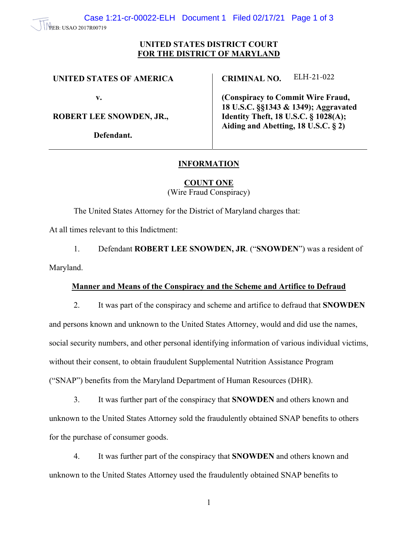#### PEB: USAO 2017R00719

## **UNITED STATES DISTRICT COURT FOR THE DISTRICT OF MARYLAND**

### **UNITED STATES OF AMERICA**

**v.** 

**ROBERT LEE SNOWDEN, JR.,** 

**Defendant.** 

**CRIMINAL NO.**  ELH-21-022

**(Conspiracy to Commit Wire Fraud, 18 U.S.C. §§1343 & 1349); Aggravated Identity Theft, 18 U.S.C. § 1028(A); Aiding and Abetting, 18 U.S.C. § 2)** 

# **INFORMATION**

**COUNT ONE** 

(Wire Fraud Conspiracy)

The United States Attorney for the District of Maryland charges that:

At all times relevant to this Indictment:

1. Defendant **ROBERT LEE SNOWDEN, JR**. ("**SNOWDEN**") was a resident of Maryland.

### **Manner and Means of the Conspiracy and the Scheme and Artifice to Defraud**

2. It was part of the conspiracy and scheme and artifice to defraud that **SNOWDEN** and persons known and unknown to the United States Attorney, would and did use the names, social security numbers, and other personal identifying information of various individual victims, without their consent, to obtain fraudulent Supplemental Nutrition Assistance Program ("SNAP") benefits from the Maryland Department of Human Resources (DHR).

3. It was further part of the conspiracy that **SNOWDEN** and others known and unknown to the United States Attorney sold the fraudulently obtained SNAP benefits to others for the purchase of consumer goods.

4. It was further part of the conspiracy that **SNOWDEN** and others known and unknown to the United States Attorney used the fraudulently obtained SNAP benefits to

1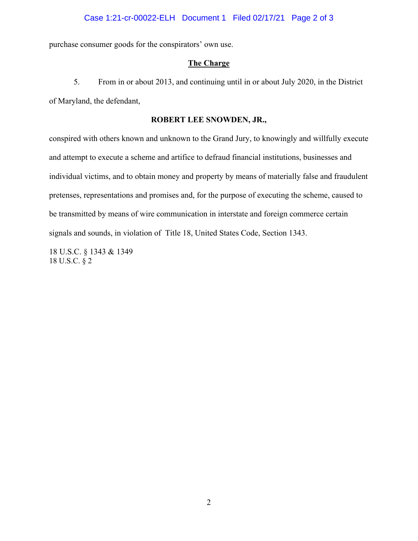### Case 1:21-cr-00022-ELH Document 1 Filed 02/17/21 Page 2 of 3

purchase consumer goods for the conspirators' own use.

#### **The Charge**

5. From in or about 2013, and continuing until in or about July 2020, in the District of Maryland, the defendant,

#### **ROBERT LEE SNOWDEN, JR.,**

conspired with others known and unknown to the Grand Jury, to knowingly and willfully execute and attempt to execute a scheme and artifice to defraud financial institutions, businesses and individual victims, and to obtain money and property by means of materially false and fraudulent pretenses, representations and promises and, for the purpose of executing the scheme, caused to be transmitted by means of wire communication in interstate and foreign commerce certain signals and sounds, in violation of Title 18, United States Code, Section 1343.

18 U.S.C. § 1343 & 1349 18 U.S.C. § 2